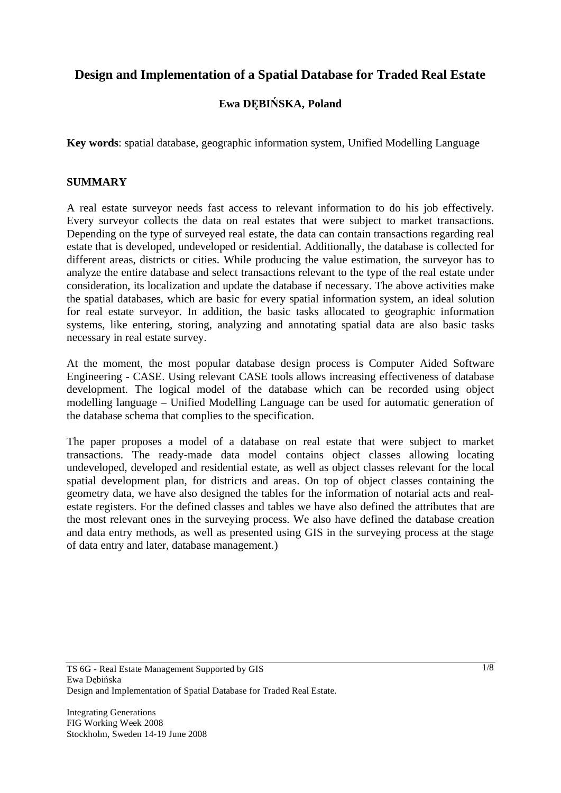# **Design and Implementation of a Spatial Database for Traded Real Estate**

# **Ewa DBISKA, Poland**

**Key words**: spatial database, geographic information system, Unified Modelling Language

### **SUMMARY**

A real estate surveyor needs fast access to relevant information to do his job effectively. Every surveyor collects the data on real estates that were subject to market transactions. Depending on the type of surveyed real estate, the data can contain transactions regarding real estate that is developed, undeveloped or residential. Additionally, the database is collected for different areas, districts or cities. While producing the value estimation, the surveyor has to analyze the entire database and select transactions relevant to the type of the real estate under consideration, its localization and update the database if necessary. The above activities make the spatial databases, which are basic for every spatial information system, an ideal solution for real estate surveyor. In addition, the basic tasks allocated to geographic information systems, like entering, storing, analyzing and annotating spatial data are also basic tasks necessary in real estate survey.

At the moment, the most popular database design process is Computer Aided Software Engineering - CASE. Using relevant CASE tools allows increasing effectiveness of database development. The logical model of the database which can be recorded using object modelling language – Unified Modelling Language can be used for automatic generation of the database schema that complies to the specification.

The paper proposes a model of a database on real estate that were subject to market transactions. The ready-made data model contains object classes allowing locating undeveloped, developed and residential estate, as well as object classes relevant for the local spatial development plan, for districts and areas. On top of object classes containing the geometry data, we have also designed the tables for the information of notarial acts and realestate registers. For the defined classes and tables we have also defined the attributes that are the most relevant ones in the surveying process. We also have defined the database creation and data entry methods, as well as presented using GIS in the surveying process at the stage of data entry and later, database management.)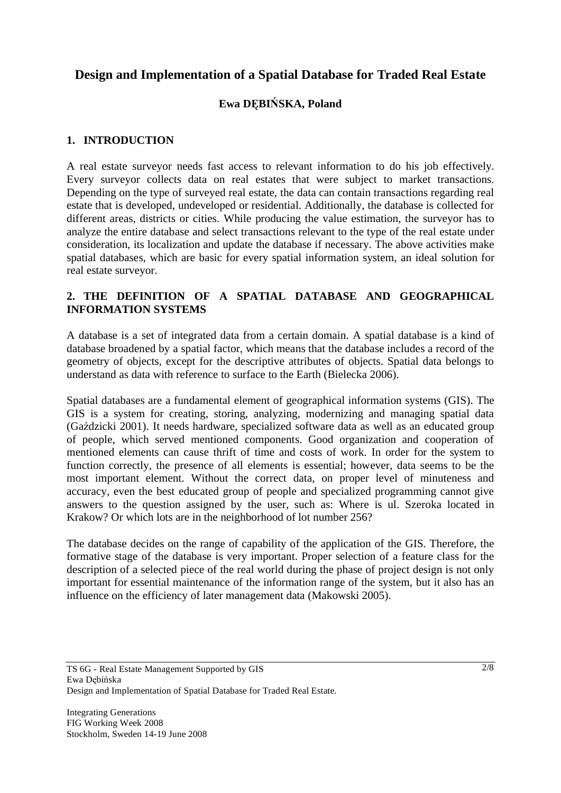# **Design and Implementation of a Spatial Database for Traded Real Estate**

# **Ewa DBISKA, Poland**

## **1. INTRODUCTION**

A real estate surveyor needs fast access to relevant information to do his job effectively. Every surveyor collects data on real estates that were subject to market transactions. Depending on the type of surveyed real estate, the data can contain transactions regarding real estate that is developed, undeveloped or residential. Additionally, the database is collected for different areas, districts or cities. While producing the value estimation, the surveyor has to analyze the entire database and select transactions relevant to the type of the real estate under consideration, its localization and update the database if necessary. The above activities make spatial databases, which are basic for every spatial information system, an ideal solution for real estate surveyor.

## **2. THE DEFINITION OF A SPATIAL DATABASE AND GEOGRAPHICAL INFORMATION SYSTEMS**

A database is a set of integrated data from a certain domain. A spatial database is a kind of database broadened by a spatial factor, which means that the database includes a record of the geometry of objects, except for the descriptive attributes of objects. Spatial data belongs to understand as data with reference to surface to the Earth (Bielecka 2006).

Spatial databases are a fundamental element of geographical information systems (GIS). The GIS is a system for creating, storing, analyzing, modernizing and managing spatial data (Gaździcki 2001). It needs hardware, specialized software data as well as an educated group of people, which served mentioned components. Good organization and cooperation of mentioned elements can cause thrift of time and costs of work. In order for the system to function correctly, the presence of all elements is essential; however, data seems to be the most important element. Without the correct data, on proper level of minuteness and accuracy, even the best educated group of people and specialized programming cannot give answers to the question assigned by the user, such as: Where is ul. Szeroka located in Krakow? Or which lots are in the neighborhood of lot number 256?

The database decides on the range of capability of the application of the GIS. Therefore, the formative stage of the database is very important. Proper selection of a feature class for the description of a selected piece of the real world during the phase of project design is not only important for essential maintenance of the information range of the system, but it also has an influence on the efficiency of later management data (Makowski 2005).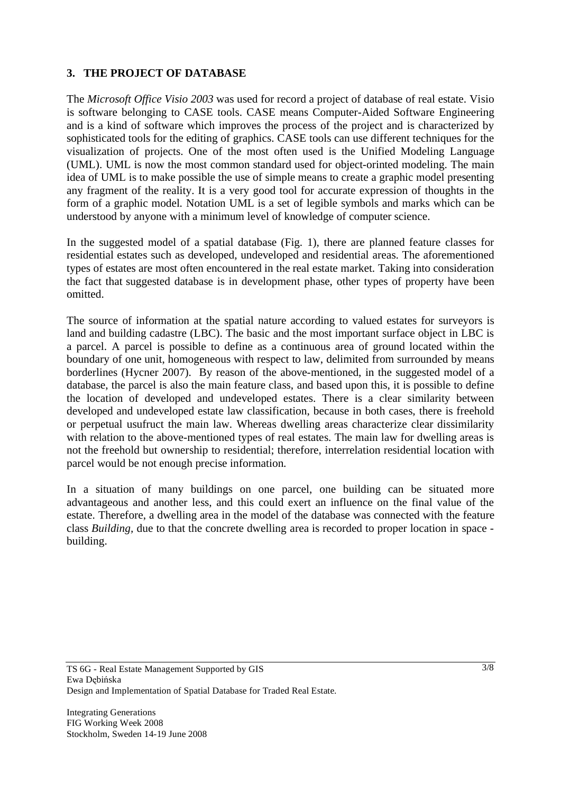## **3. THE PROJECT OF DATABASE**

The *Microsoft Office Visio 2003* was used for record a project of database of real estate. Visio is software belonging to CASE tools. CASE means Computer-Aided Software Engineering and is a kind of software which improves the process of the project and is characterized by sophisticated tools for the editing of graphics. CASE tools can use different techniques for the visualization of projects. One of the most often used is the Unified Modeling Language (UML). UML is now the most common standard used for object-orinted modeling. The main idea of UML is to make possible the use of simple means to create a graphic model presenting any fragment of the reality. It is a very good tool for accurate expression of thoughts in the form of a graphic model. Notation UML is a set of legible symbols and marks which can be understood by anyone with a minimum level of knowledge of computer science.

In the suggested model of a spatial database (Fig. 1), there are planned feature classes for residential estates such as developed, undeveloped and residential areas. The aforementioned types of estates are most often encountered in the real estate market. Taking into consideration the fact that suggested database is in development phase, other types of property have been omitted.

The source of information at the spatial nature according to valued estates for surveyors is land and building cadastre (LBC). The basic and the most important surface object in LBC is a parcel. A parcel is possible to define as a continuous area of ground located within the boundary of one unit, homogeneous with respect to law, delimited from surrounded by means borderlines (Hycner 2007). By reason of the above-mentioned, in the suggested model of a database, the parcel is also the main feature class, and based upon this, it is possible to define the location of developed and undeveloped estates. There is a clear similarity between developed and undeveloped estate law classification, because in both cases, there is freehold or perpetual usufruct the main law. Whereas dwelling areas characterize clear dissimilarity with relation to the above-mentioned types of real estates. The main law for dwelling areas is not the freehold but ownership to residential; therefore, interrelation residential location with parcel would be not enough precise information.

In a situation of many buildings on one parcel, one building can be situated more advantageous and another less, and this could exert an influence on the final value of the estate. Therefore, a dwelling area in the model of the database was connected with the feature class *Building,* due to that the concrete dwelling area is recorded to proper location in space building.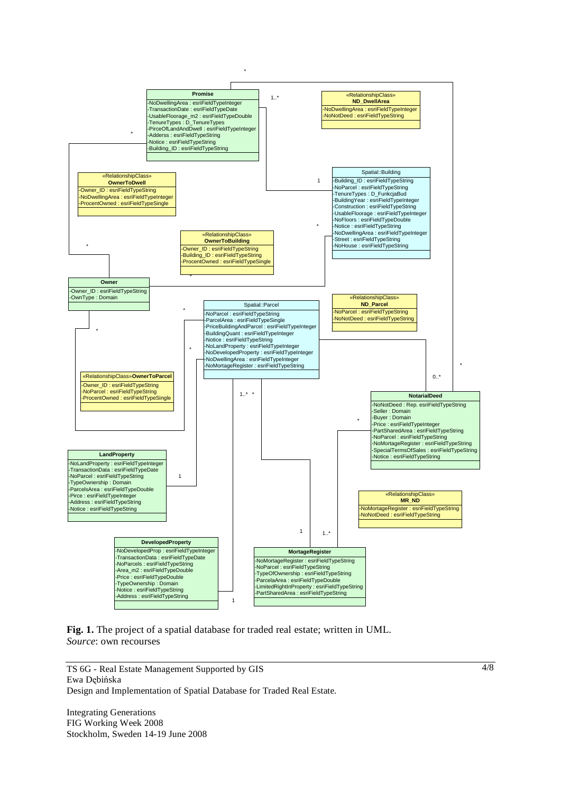

**Fig. 1.** The project of a spatial database for traded real estate; written in UML. *Source*: own recourses

TS 6G - Real Estate Management Supported by GIS Ewa Debińska Design and Implementation of Spatial Database for Traded Real Estate.

Integrating Generations FIG Working Week 2008 Stockholm, Sweden 14-19 June 2008 4/8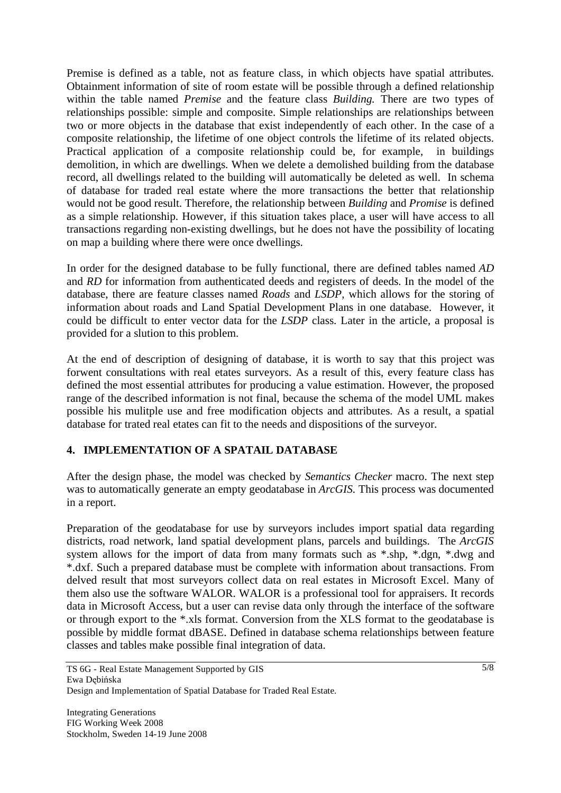Premise is defined as a table, not as feature class, in which objects have spatial attributes. Obtainment information of site of room estate will be possible through a defined relationship within the table named *Premise* and the feature class *Building.* There are two types of relationships possible: simple and composite. Simple relationships are relationships between two or more objects in the database that exist independently of each other. In the case of a composite relationship, the lifetime of one object controls the lifetime of its related objects. Practical application of a composite relationship could be, for example, in buildings demolition, in which are dwellings. When we delete a demolished building from the database record, all dwellings related to the building will automatically be deleted as well. In schema of database for traded real estate where the more transactions the better that relationship would not be good result. Therefore, the relationship between *Building* and *Promise* is defined as a simple relationship. However, if this situation takes place, a user will have access to all transactions regarding non-existing dwellings, but he does not have the possibility of locating on map a building where there were once dwellings.

In order for the designed database to be fully functional, there are defined tables named *AD* and *RD* for information from authenticated deeds and registers of deeds. In the model of the database, there are feature classes named *Roads* and *LSDP*, which allows for the storing of information about roads and Land Spatial Development Plans in one database. However, it could be difficult to enter vector data for the *LSDP* class. Later in the article, a proposal is provided for a slution to this problem.

At the end of description of designing of database, it is worth to say that this project was forwent consultations with real etates surveyors. As a result of this, every feature class has defined the most essential attributes for producing a value estimation. However, the proposed range of the described information is not final, because the schema of the model UML makes possible his mulitple use and free modification objects and attributes. As a result, a spatial database for trated real etates can fit to the needs and dispositions of the surveyor.

# **4. IMPLEMENTATION OF A SPATAIL DATABASE**

After the design phase, the model was checked by *Semantics Checker* macro. The next step was to automatically generate an empty geodatabase in *ArcGIS*. This process was documented in a report.

Preparation of the geodatabase for use by surveyors includes import spatial data regarding districts, road network, land spatial development plans, parcels and buildings. The *ArcGIS* system allows for the import of data from many formats such as \*.shp, \*.dgn, \*.dwg and \*.dxf. Such a prepared database must be complete with information about transactions. From delved result that most surveyors collect data on real estates in Microsoft Excel. Many of them also use the software WALOR. WALOR is a professional tool for appraisers. It records data in Microsoft Access, but a user can revise data only through the interface of the software or through export to the \*.xls format. Conversion from the XLS format to the geodatabase is possible by middle format dBASE. Defined in database schema relationships between feature classes and tables make possible final integration of data.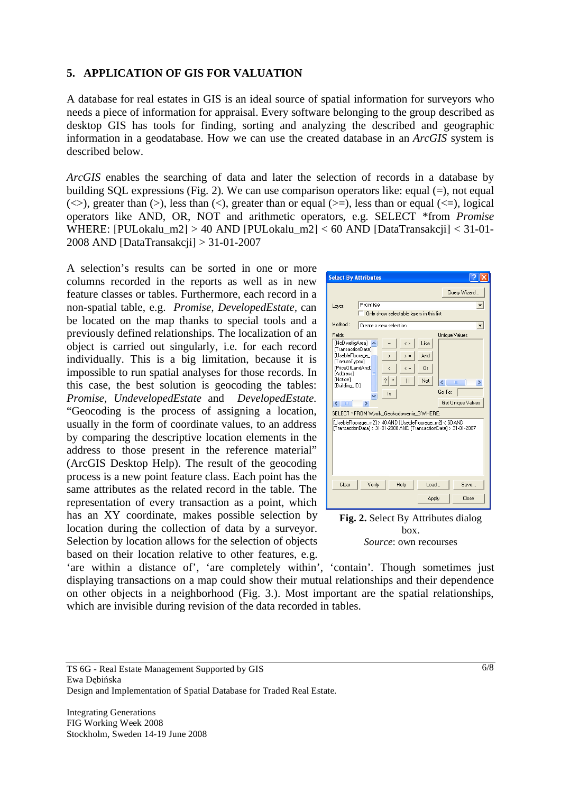#### **5. APPLICATION OF GIS FOR VALUATION**

A database for real estates in GIS is an ideal source of spatial information for surveyors who needs a piece of information for appraisal. Every software belonging to the group described as desktop GIS has tools for finding, sorting and analyzing the described and geographic information in a geodatabase. How we can use the created database in an *ArcGIS* system is described below.

*ArcGIS* enables the searching of data and later the selection of records in a database by building SQL expressions (Fig. 2). We can use comparison operators like: equal (=), not equal ( $\langle \rangle$ ), greater than ( $\rangle$ ), less than ( $\langle \rangle$ ), greater than or equal ( $\rangle$ =), less than or equal ( $\langle \rangle$ =), logical operators like AND, OR, NOT and arithmetic operators, e.g. SELECT \*from *Promise*  WHERE: [PULokalu\_m2] > 40 AND [PULokalu\_m2] < 60 AND [DataTransakcji] < 31-01- 2008 AND [DataTransakcji] > 31-01-2007

A selection's results can be sorted in one or more columns recorded in the reports as well as in new feature classes or tables. Furthermore, each record in a non-spatial table, e.g. *Promise*, *DevelopedEstate,* can be located on the map thanks to special tools and a previously defined relationships. The localization of an object is carried out singularly, i.e. for each record individually. This is a big limitation, because it is impossible to run spatial analyses for those records. In this case, the best solution is geocoding the tables: *Promise, UndevelopedEstate* and *DevelopedEstate.* "Geocoding is the process of assigning a location, usually in the form of coordinate values, to an address by comparing the descriptive location elements in the address to those present in the reference material" (ArcGIS Desktop Help). The result of the geocoding process is a new point feature class. Each point has the same attributes as the related record in the table. The representation of every transaction as a point, which has an XY coordinate, makes possible selection by location during the collection of data by a surveyor. Selection by location allows for the selection of objects based on their location relative to other features, e.g.

| <b>Select By Attributes</b>                                                                                              |                                                     |                                                                                                                                                                                                                                                                                                                                                                                                                                                                                                                                                                                    |
|--------------------------------------------------------------------------------------------------------------------------|-----------------------------------------------------|------------------------------------------------------------------------------------------------------------------------------------------------------------------------------------------------------------------------------------------------------------------------------------------------------------------------------------------------------------------------------------------------------------------------------------------------------------------------------------------------------------------------------------------------------------------------------------|
|                                                                                                                          |                                                     | Query Wizard                                                                                                                                                                                                                                                                                                                                                                                                                                                                                                                                                                       |
| Layer:                                                                                                                   | Promise<br>Only show selectable layers in this list |                                                                                                                                                                                                                                                                                                                                                                                                                                                                                                                                                                                    |
| Method:                                                                                                                  | Create a new selection                              |                                                                                                                                                                                                                                                                                                                                                                                                                                                                                                                                                                                    |
| Fields:                                                                                                                  |                                                     | Unique Values                                                                                                                                                                                                                                                                                                                                                                                                                                                                                                                                                                      |
| [NoDwelligArea]                                                                                                          | Like<br>$\langle \rangle$<br>$=$                    |                                                                                                                                                                                                                                                                                                                                                                                                                                                                                                                                                                                    |
| [TransactionData]<br><b>IUsebleFloorage</b><br>[TenureTypes]                                                             | And<br>$\geq$ =<br>$\rightarrow$                    |                                                                                                                                                                                                                                                                                                                                                                                                                                                                                                                                                                                    |
| [Price0fLandAnd]                                                                                                         | Ωr<br>$\langle =$<br>k                              |                                                                                                                                                                                                                                                                                                                                                                                                                                                                                                                                                                                    |
| [Address]<br>[Notice]                                                                                                    | 2   ×<br>Not<br>$\Box$                              | $\left\langle \cdot \right\rangle$ = $\left\langle \cdot \right\rangle$ = $\left\langle \cdot \right\rangle$ = $\left\langle \cdot \right\rangle$ = $\left\langle \cdot \right\rangle$ = $\left\langle \cdot \right\rangle$ = $\left\langle \cdot \right\rangle$ = $\left\langle \cdot \right\rangle$ = $\left\langle \cdot \right\rangle$ = $\left\langle \cdot \right\rangle$ = $\left\langle \cdot \right\rangle$ = $\left\langle \cdot \right\rangle$ = $\left\langle \cdot \right\rangle$ = $\left\langle \cdot \right\rangle$ = $\left\langle \cdot \right\rangle$<br>$\geq$ |
| [Building ID]                                                                                                            |                                                     | Go To:                                                                                                                                                                                                                                                                                                                                                                                                                                                                                                                                                                             |
|                                                                                                                          | ls                                                  |                                                                                                                                                                                                                                                                                                                                                                                                                                                                                                                                                                                    |
| $\leftarrow$<br>$\mathbf{m}$                                                                                             | ×.                                                  | Get Unique Values                                                                                                                                                                                                                                                                                                                                                                                                                                                                                                                                                                  |
| SELECT * FROM Wynik Geokodowania 3 WHERE:                                                                                |                                                     |                                                                                                                                                                                                                                                                                                                                                                                                                                                                                                                                                                                    |
| [UsebleFloorage m2] > 40 AND [UsebleFloorage m2] < 60 AND<br>TransactionData1<31-01-2008 AND TransactionData1>31-01-2007 |                                                     |                                                                                                                                                                                                                                                                                                                                                                                                                                                                                                                                                                                    |
| Clear                                                                                                                    | hen L<br>Verify<br>Help                             | Save                                                                                                                                                                                                                                                                                                                                                                                                                                                                                                                                                                               |
|                                                                                                                          | Apply                                               | Close                                                                                                                                                                                                                                                                                                                                                                                                                                                                                                                                                                              |

**Fig. 2.** Select By Attributes dialog box. *Source*: own recourses

'are within a distance of', 'are completely within', 'contain'. Though sometimes just displaying transactions on a map could show their mutual relationships and their dependence on other objects in a neighborhood (Fig. 3.). Most important are the spatial relationships, which are invisible during revision of the data recorded in tables.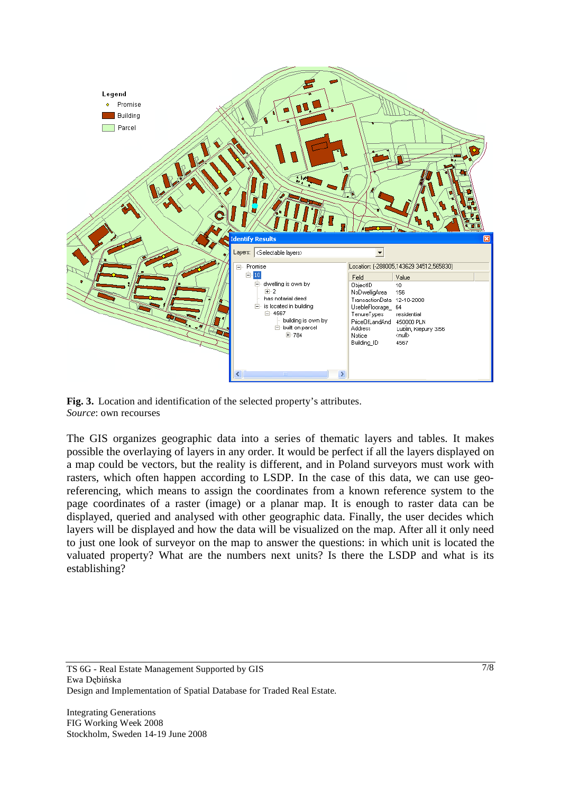

**Fig. 3.** Location and identification of the selected property's attributes. *Source*: own recourses

The GIS organizes geographic data into a series of thematic layers and tables. It makes possible the overlaying of layers in any order. It would be perfect if all the layers displayed on a map could be vectors, but the reality is different, and in Poland surveyors must work with rasters, which often happen according to LSDP. In the case of this data, we can use georeferencing, which means to assign the coordinates from a known reference system to the page coordinates of a raster (image) or a planar map. It is enough to raster data can be displayed, queried and analysed with other geographic data. Finally, the user decides which layers will be displayed and how the data will be visualized on the map. After all it only need to just one look of surveyor on the map to answer the questions: in which unit is located the valuated property? What are the numbers next units? Is there the LSDP and what is its establishing?